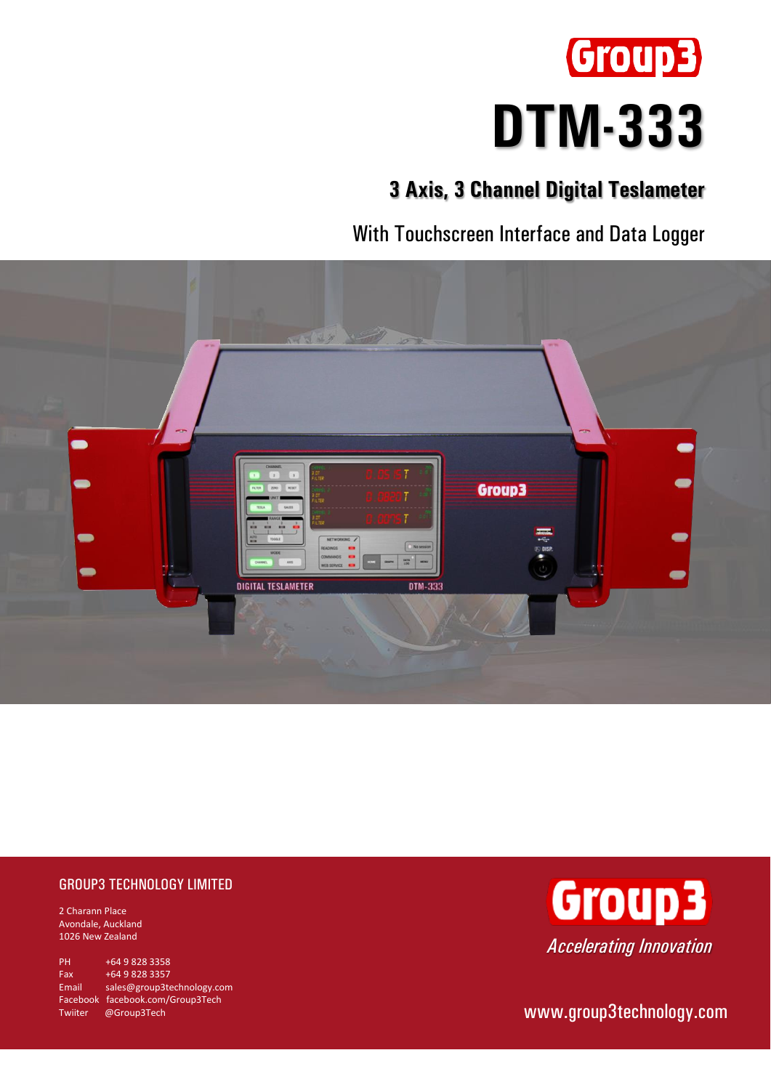

# **3 Axis, 3 Channel Digital Teslameter**

With Touchscreen Interface and Data Logger



## GROUP3 TECHNOLOGY LIMITED

2 Charann Place Avondale, Auckland 1026 New Zealand

PH +64 9 828 3358 Fax +64 9 828 3357 Email [sales@group3technology.com](mailto:sales@group3technology.com) Facebook [facebook.com/Group3Tech](http://www.facebook.com/Group3Tech) Twiiter @Group3Tech



[www.group3technology.com](http://www.group3technology.com/)